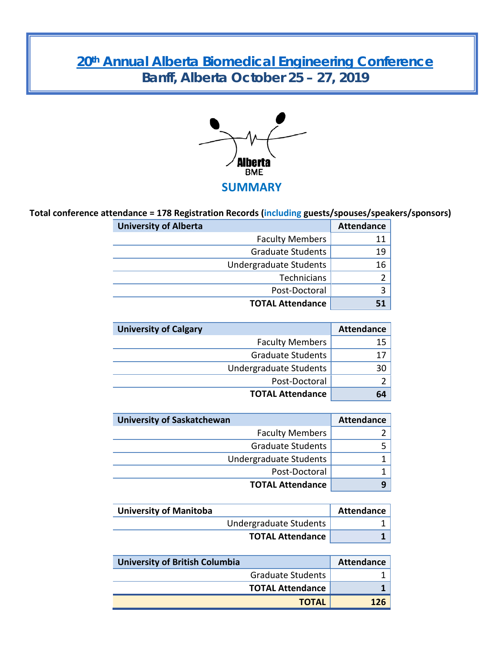# **20th [Annual Alberta Biomedical Engineering Conference](https://www.ucalgary.ca/bme/files/bme/ab-bme-conference-2019-final-short-a.pdf) Banff, Alberta October 25 – 27, 2019**



## **Total conference attendance = 178 Registration Records (including guests/spouses/speakers/sponsors)**

| <b>University of Alberta</b> | <b>Attendance</b> |
|------------------------------|-------------------|
| <b>Faculty Members</b>       |                   |
| <b>Graduate Students</b>     | 19                |
| Undergraduate Students       | 16                |
| Technicians                  |                   |
| Post-Doctoral                |                   |
| <b>TOTAL Attendance</b>      |                   |

| <b>University of Calgary</b>  | <b>Attendance</b> |
|-------------------------------|-------------------|
| <b>Faculty Members</b>        | 15                |
| <b>Graduate Students</b>      | 17                |
| <b>Undergraduate Students</b> | 30                |
| Post-Doctoral                 |                   |
| <b>TOTAL Attendance</b>       | 64                |

| <b>University of Saskatchewan</b> | <b>Attendance</b> |
|-----------------------------------|-------------------|
| <b>Faculty Members</b>            |                   |
| <b>Graduate Students</b>          |                   |
| Undergraduate Students            |                   |
| Post-Doctoral                     |                   |
| <b>TOTAL Attendance</b>           |                   |

| <b>University of Manitoba</b> | Attendance |
|-------------------------------|------------|
| Undergraduate Students        |            |
| <b>TOTAL Attendance</b>       |            |

| <b>University of British Columbia</b> | <b>Attendance</b> |
|---------------------------------------|-------------------|
| <b>Graduate Students</b>              |                   |
| <b>TOTAL Attendance</b>               |                   |
| <b>TOTAL</b>                          | 176               |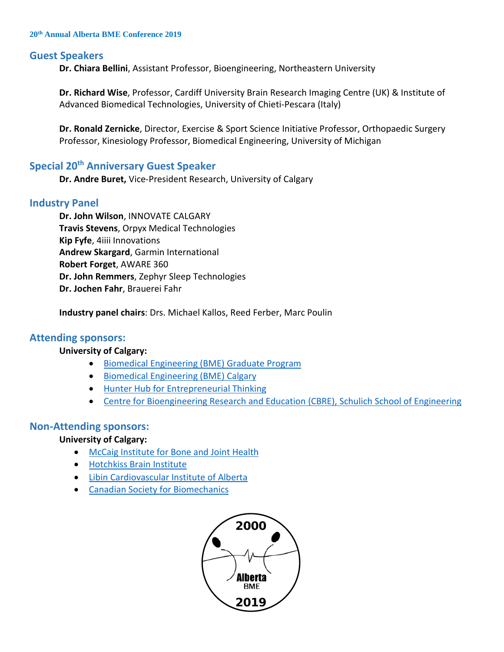#### **20th Annual Alberta BME Conference 2019**

### **Guest Speakers**

**Dr. Chiara Bellini**, Assistant Professor, Bioengineering, Northeastern University

**Dr. Richard Wise**, Professor, Cardiff University Brain Research Imaging Centre (UK) & Institute of Advanced Biomedical Technologies, University of Chieti-Pescara (Italy)

**Dr. Ronald Zernicke**, Director, Exercise & Sport Science Initiative Professor, Orthopaedic Surgery Professor, Kinesiology Professor, Biomedical Engineering, University of Michigan

## **Special 20<sup>th</sup> Anniversary Guest Speaker**

**Dr. Andre Buret,** Vice-President Research, University of Calgary

## **Industry Panel**

**Dr. John Wilson**, INNOVATE CALGARY **Travis Stevens**, Orpyx Medical Technologies **Kip Fyfe**, 4iiii Innovations **Andrew Skargard**, Garmin International **Robert Forget**, AWARE 360 **Dr. John Remmers**, Zephyr Sleep Technologies **Dr. Jochen Fahr**, Brauerei Fahr

**Industry panel chairs**: Drs. Michael Kallos, Reed Ferber, Marc Poulin

### **Attending sponsors:**

#### **University of Calgary:**

- [Biomedical Engineering \(BME\)](https://www.ucalgary.ca/bme/) Graduate Program
- [Biomedical Engineering \(BME\)](https://www.ucalgary.ca/bme/) Calgary
- [Hunter Hub for Entrepreneurial Thinking](https://www.ucalgary.ca/hunter-hub/about)
- [Centre for Bioengineering Research and Education \(CBRE\), Schulich School of Engineering](https://www.ucalgary.ca/bme/research-groups/centre-bioengineering-research-and-education-cbre)

### **Non-Attending sponsors:**

#### **University of Calgary:**

- [McCaig Institute for Bone and Joint Health](https://mccaig.ucalgary.ca/)
- [Hotchkiss Brain Institute](https://hbi.ucalgary.ca/)
- [Libin Cardiovascular Institute of Alberta](https://libin.ucalgary.ca/)
- [Canadian Society for Biomechanics](https://csb-scb.com/)

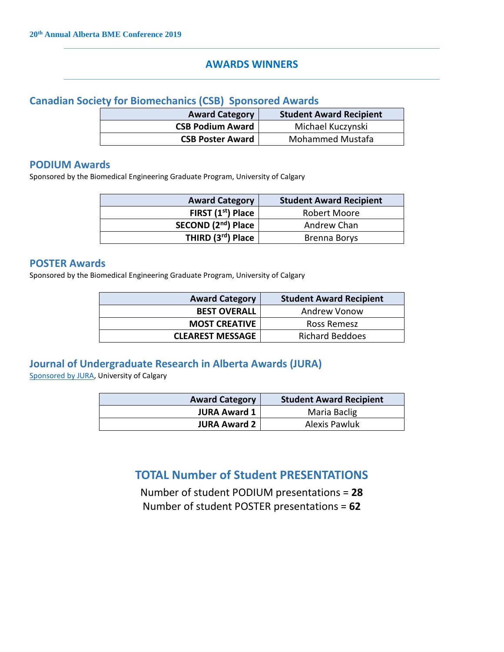## **AWARDS WINNERS**

## **Canadian Society for Biomechanics (CSB) Sponsored Awards**

| <b>Award Category</b>   | <b>Student Award Recipient</b> |
|-------------------------|--------------------------------|
| <b>CSB Podium Award</b> | Michael Kuczynski              |
| <b>CSB Poster Award</b> | <b>Mohammed Mustafa</b>        |

## **PODIUM Awards**

Sponsored by the Biomedical Engineering Graduate Program, University of Calgary

| <b>Award Category</b>          | <b>Student Award Recipient</b> |
|--------------------------------|--------------------------------|
| FIRST (1 <sup>st</sup> ) Place | Robert Moore                   |
| SECOND (2nd) Place             | Andrew Chan                    |
| THIRD (3rd) Place              | <b>Brenna Borys</b>            |

## **POSTER Awards**

Sponsored by the Biomedical Engineering Graduate Program, University of Calgary

| <b>Award Category</b>   | <b>Student Award Recipient</b> |
|-------------------------|--------------------------------|
| <b>BEST OVERALL</b>     | Andrew Vonow                   |
| <b>MOST CREATIVE</b>    | Ross Remesz                    |
| <b>CLEAREST MESSAGE</b> | <b>Richard Beddoes</b>         |

## **Journal of Undergraduate Research in Alberta Awards (JURA)**

[Sponsored by JURA,](https://journalhosting.ucalgary.ca/index.php/jura) University of Calgary

| <b>Award Category</b> | <b>Student Award Recipient</b> |
|-----------------------|--------------------------------|
| <b>JURA Award 1</b>   | Maria Baclig                   |
| <b>JURA Award 2</b>   | Alexis Pawluk                  |

## **TOTAL Number of Student PRESENTATIONS**

Number of student PODIUM presentations = **28**

Number of student POSTER presentations = **62**